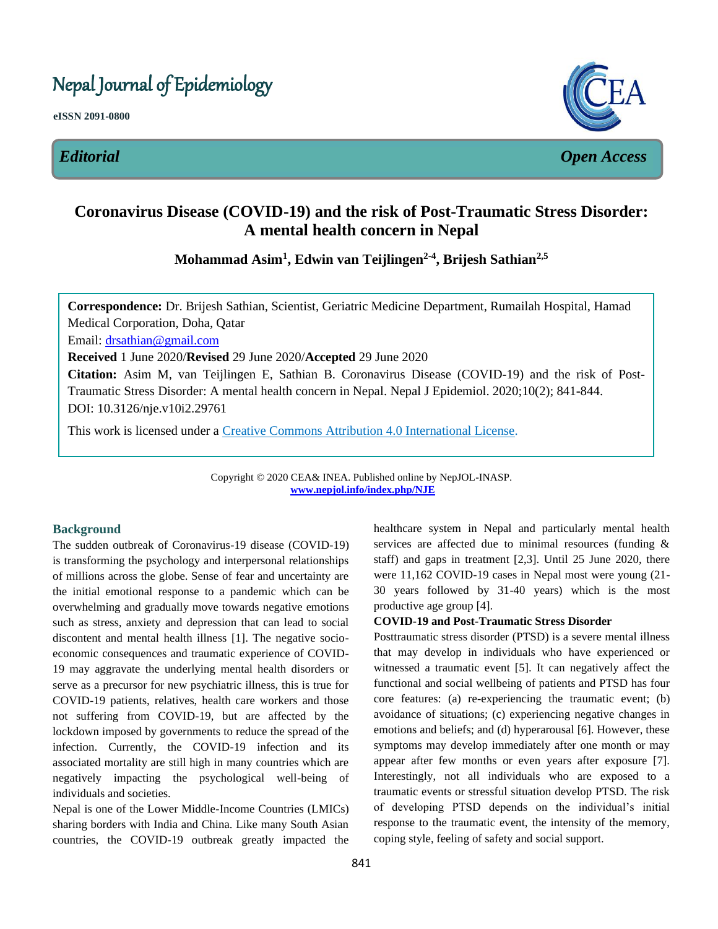# Nepal Journal of Epidemiology

**eISSN 2091-0800**



#### **Coronavirus Disease (COVID-19) and the risk of Post-Traumatic Stress Disorder: A mental health concern in Nepal** י<br>י

**Mohammad Asim<sup>1</sup> , Edwin van Teijlingen2-4 , Brijesh Sathian2,5**

**Correspondence:** Dr. Brijesh Sathian, Scientist, Geriatric Medicine Department, Rumailah Hospital, Hamad Medical Corporation, Doha, Qatar Email: [drsathian@gmail.com](mailto:drsathian@gmail.com) **Received** 1 June 2020/**Revised** 29 June 2020/**Accepted** 29 June 2020 **Citation:** Asim M, van Teijlingen E, Sathian B. Coronavirus Disease (COVID-19) and the risk of Post-Traumatic Stress Disorder: A mental health concern in Nepal. Nepal J Epidemiol. 2020;10(2); 841-844.

DOI: 10.3126/nje.v10i2.29761

This work is licensed under a [Creative Commons Attribution 4.0 International License.](http://creativecommons.org/licenses/by/4.0/)

Copyright © 2020 CEA& INEA. Published online by NepJOL-INASP. **[www.nepjol.info/index.php/NJE](http://www.nepjol.info/index.php/NJE)**

# **Background**

The sudden outbreak of Coronavirus-19 disease (COVID-19) is transforming the psychology and interpersonal relationships of millions across the globe. Sense of fear and uncertainty are the initial emotional response to a pandemic which can be overwhelming and gradually move towards negative emotions such as stress, anxiety and depression that can lead to social discontent and mental health illness [1]. The negative socioeconomic consequences and traumatic experience of COVID-19 may aggravate the underlying mental health disorders or serve as a precursor for new psychiatric illness, this is true for COVID-19 patients, relatives, health care workers and those not suffering from COVID-19, but are affected by the lockdown imposed by governments to reduce the spread of the infection. Currently, the COVID-19 infection and its associated mortality are still high in many countries which are negatively impacting the psychological well-being of individuals and societies.

Nepal is one of the Lower Middle-Income Countries (LMICs) sharing borders with India and China. Like many South Asian countries, the COVID-19 outbreak greatly impacted the

healthcare system in Nepal and particularly mental health services are affected due to minimal resources (funding & staff) and gaps in treatment [2,3]. Until 25 June 2020, there were 11,162 COVID-19 cases in Nepal most were young (21- 30 years followed by 31-40 years) which is the most productive age group [4].

### **COVID-19 and Post-Traumatic Stress Disorder**

Posttraumatic stress disorder (PTSD) is a severe mental illness that may develop in individuals who have experienced or witnessed a traumatic event [5]. It can negatively affect the functional and social wellbeing of patients and PTSD has four core features: (a) re-experiencing the traumatic event; (b) avoidance of situations; (c) experiencing negative changes in emotions and beliefs; and (d) hyperarousal [6]. However, these symptoms may develop immediately after one month or may appear after few months or even years after exposure [7]. Interestingly, not all individuals who are exposed to a traumatic events or stressful situation develop PTSD. The risk of developing PTSD depends on the individual's initial response to the traumatic event, the intensity of the memory, coping style, feeling of safety and social support.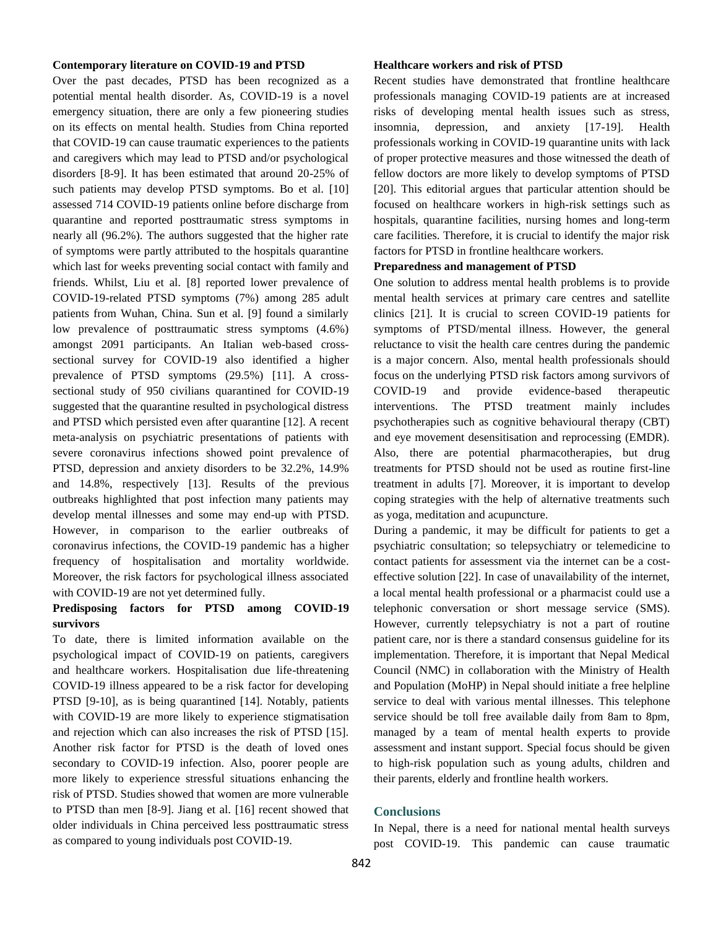#### **Contemporary literature on COVID-19 and PTSD**

Over the past decades, PTSD has been recognized as a potential mental health disorder. As, COVID-19 is a novel emergency situation, there are only a few pioneering studies on its effects on mental health. Studies from China reported that COVID-19 can cause traumatic experiences to the patients and caregivers which may lead to PTSD and/or psychological disorders [8-9]. It has been estimated that around 20-25% of such patients may develop PTSD symptoms. Bo et al. [10] assessed 714 COVID-19 patients online before discharge from quarantine and reported posttraumatic stress symptoms in nearly all (96.2%). The authors suggested that the higher rate of symptoms were partly attributed to the hospitals quarantine which last for weeks preventing social contact with family and friends. Whilst, Liu et al. [8] reported lower prevalence of COVID-19-related PTSD symptoms (7%) among 285 adult patients from Wuhan, China. Sun et al. [9] found a similarly low prevalence of posttraumatic stress symptoms (4.6%) amongst 2091 participants. An Italian web-based crosssectional survey for COVID-19 also identified a higher prevalence of PTSD symptoms (29.5%) [11]. A crosssectional study of 950 civilians quarantined for COVID-19 suggested that the quarantine resulted in psychological distress and PTSD which persisted even after quarantine [12]. A recent meta-analysis on psychiatric presentations of patients with severe coronavirus infections showed point prevalence of PTSD, depression and anxiety disorders to be 32.2%, 14.9% and 14.8%, respectively [13]. Results of the previous outbreaks highlighted that post infection many patients may develop mental illnesses and some may end-up with PTSD. However, in comparison to the earlier outbreaks of coronavirus infections, the COVID-19 pandemic has a higher frequency of hospitalisation and mortality worldwide. Moreover, the risk factors for psychological illness associated with COVID-19 are not yet determined fully.

# **Predisposing factors for PTSD among COVID-19 survivors**

To date, there is limited information available on the psychological impact of COVID-19 on patients, caregivers and healthcare workers. Hospitalisation due life-threatening COVID-19 illness appeared to be a risk factor for developing PTSD [9-10], as is being quarantined [14]. Notably, patients with COVID-19 are more likely to experience stigmatisation and rejection which can also increases the risk of PTSD [15]. Another risk factor for PTSD is the death of loved ones secondary to COVID-19 infection. Also, poorer people are more likely to experience stressful situations enhancing the risk of PTSD. Studies showed that women are more vulnerable to PTSD than men [8-9]. Jiang et al. [16] recent showed that older individuals in China perceived less posttraumatic stress as compared to young individuals post COVID-19.

#### **Healthcare workers and risk of PTSD**

Recent studies have demonstrated that frontline healthcare professionals managing COVID-19 patients are at increased risks of developing mental health issues such as stress, insomnia, depression, and anxiety [17-19]. Health professionals working in COVID-19 quarantine units with lack of proper protective measures and those witnessed the death of fellow doctors are more likely to develop symptoms of PTSD [20]. This editorial argues that particular attention should be focused on healthcare workers in high-risk settings such as hospitals, quarantine facilities, nursing homes and long-term care facilities. Therefore, it is crucial to identify the major risk factors for PTSD in frontline healthcare workers.

#### **Preparedness and management of PTSD**

One solution to address mental health problems is to provide mental health services at primary care centres and satellite clinics [21]. It is crucial to screen COVID-19 patients for symptoms of PTSD/mental illness. However, the general reluctance to visit the health care centres during the pandemic is a major concern. Also, mental health professionals should focus on the underlying PTSD risk factors among survivors of COVID-19 and provide evidence-based therapeutic interventions. The PTSD treatment mainly includes psychotherapies such as cognitive behavioural therapy (CBT) and eye movement desensitisation and reprocessing (EMDR). Also, there are potential pharmacotherapies, but drug treatments for PTSD should not be used as routine first-line treatment in adults [7]. Moreover, it is important to develop coping strategies with the help of alternative treatments such as yoga, meditation and acupuncture.

During a pandemic, it may be difficult for patients to get a psychiatric consultation; so telepsychiatry or telemedicine to contact patients for assessment via the internet can be a costeffective solution [22]. In case of unavailability of the internet, a local mental health professional or a pharmacist could use a telephonic conversation or short message service (SMS). However, currently telepsychiatry is not a part of routine patient care, nor is there a standard consensus guideline for its implementation. Therefore, it is important that Nepal Medical Council (NMC) in collaboration with the Ministry of Health and Population (MoHP) in Nepal should initiate a free helpline service to deal with various mental illnesses. This telephone service should be toll free available daily from 8am to 8pm, managed by a team of mental health experts to provide assessment and instant support. Special focus should be given to high-risk population such as young adults, children and their parents, elderly and frontline health workers.

### **Conclusions**

In Nepal, there is a need for national mental health surveys post COVID-19. This pandemic can cause traumatic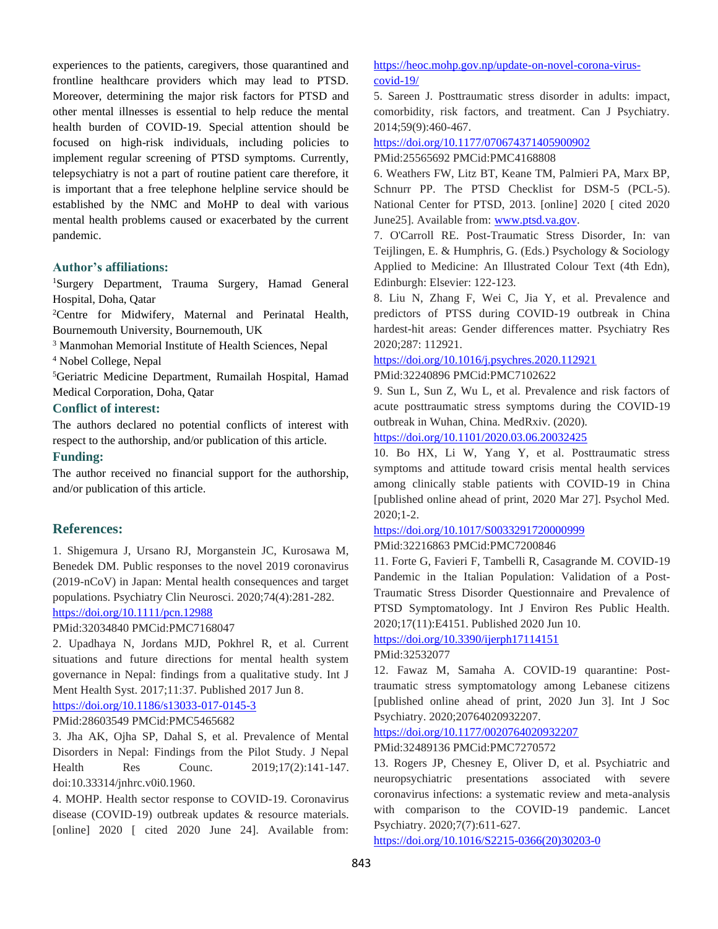experiences to the patients, caregivers, those quarantined and frontline healthcare providers which may lead to PTSD. Moreover, determining the major risk factors for PTSD and other mental illnesses is essential to help reduce the mental health burden of COVID-19. Special attention should be focused on high-risk individuals, including policies to implement regular screening of PTSD symptoms. Currently, telepsychiatry is not a part of routine patient care therefore, it is important that a free telephone helpline service should be established by the NMC and MoHP to deal with various mental health problems caused or exacerbated by the current pandemic.

#### **Author's affiliations:**

<sup>1</sup>Surgery Department, Trauma Surgery, Hamad General Hospital, Doha, Qatar

<sup>2</sup>Centre for Midwifery, Maternal and Perinatal Health, Bournemouth University, Bournemouth, UK

<sup>3</sup> Manmohan Memorial Institute of Health Sciences, Nepal

<sup>4</sup> Nobel College, Nepal

<sup>5</sup>Geriatric Medicine Department, Rumailah Hospital, Hamad Medical Corporation, Doha, Qatar

### **Conflict of interest:**

The authors declared no potential conflicts of interest with respect to the authorship, and/or publication of this article.

#### **Funding:**

The author received no financial support for the authorship, and/or publication of this article.

# **References:**

1. Shigemura J, Ursano RJ, Morganstein JC, Kurosawa M, Benedek DM. Public responses to the novel 2019 coronavirus (2019-nCoV) in Japan: Mental health consequences and target populations. Psychiatry Clin Neurosci. 2020;74(4):281-282. <https://doi.org/10.1111/pcn.12988>

#### PMid:32034840 PMCid:PMC7168047

2. Upadhaya N, Jordans MJD, Pokhrel R, et al. Current situations and future directions for mental health system governance in Nepal: findings from a qualitative study. Int J Ment Health Syst. 2017;11:37. Published 2017 Jun 8.

#### <https://doi.org/10.1186/s13033-017-0145-3>

PMid:28603549 PMCid:PMC5465682

3. Jha AK, Ojha SP, Dahal S, et al. Prevalence of Mental Disorders in Nepal: Findings from the Pilot Study. J Nepal Health Res Counc. 2019;17(2):141-147. doi:10.33314/jnhrc.v0i0.1960.

4. MOHP. Health sector response to COVID-19. Coronavirus disease (COVID-19) outbreak updates & resource materials. [online] 2020 [ cited 2020 June 24]. Available from:

# [https://heoc.mohp.gov.np/update-on-novel-corona-virus](https://heoc.mohp.gov.np/update-on-novel-corona-virus-covid-19/)[covid-19/](https://heoc.mohp.gov.np/update-on-novel-corona-virus-covid-19/)

5. Sareen J. Posttraumatic stress disorder in adults: impact, comorbidity, risk factors, and treatment. Can J Psychiatry. 2014;59(9):460-467.

# <https://doi.org/10.1177/070674371405900902> PMid:25565692 PMCid:PMC4168808

6. Weathers FW, Litz BT, Keane TM, Palmieri PA, Marx BP, Schnurr PP. The PTSD Checklist for DSM-5 (PCL-5). National Center for PTSD, 2013. [online] 2020 [ cited 2020 June25]. Available from[: www.ptsd.va.gov.](http://www.ptsd.va.gov/)

7. O'Carroll RE. Post-Traumatic Stress Disorder, In: van Teijlingen, E. & Humphris, G. (Eds.) Psychology & Sociology Applied to Medicine: An Illustrated Colour Text (4th Edn), Edinburgh: Elsevier: 122-123.

8. Liu N, Zhang F, Wei C, Jia Y, et al. Prevalence and predictors of PTSS during COVID-19 outbreak in China hardest-hit areas: Gender differences matter. Psychiatry Res 2020;287: 112921.

<https://doi.org/10.1016/j.psychres.2020.112921>

### PMid:32240896 PMCid:PMC7102622

9. Sun L, Sun Z, Wu L, et al. Prevalence and risk factors of acute posttraumatic stress symptoms during the COVID-19 outbreak in Wuhan, China. MedRxiv. (2020).

<https://doi.org/10.1101/2020.03.06.20032425>

10. Bo HX, Li W, Yang Y, et al. Posttraumatic stress symptoms and attitude toward crisis mental health services among clinically stable patients with COVID-19 in China [published online ahead of print, 2020 Mar 27]. Psychol Med. 2020;1-2.

# <https://doi.org/10.1017/S0033291720000999>

PMid:32216863 PMCid:PMC7200846

11. Forte G, Favieri F, Tambelli R, Casagrande M. COVID-19 Pandemic in the Italian Population: Validation of a Post-Traumatic Stress Disorder Questionnaire and Prevalence of PTSD Symptomatology. Int J Environ Res Public Health. 2020;17(11):E4151. Published 2020 Jun 10.

# <https://doi.org/10.3390/ijerph17114151>

PMid:32532077

12. Fawaz M, Samaha A. COVID-19 quarantine: Posttraumatic stress symptomatology among Lebanese citizens [published online ahead of print, 2020 Jun 3]. Int J Soc Psychiatry. 2020;20764020932207.

# <https://doi.org/10.1177/0020764020932207>

PMid:32489136 PMCid:PMC7270572

13. Rogers JP, Chesney E, Oliver D, et al. Psychiatric and neuropsychiatric presentations associated with severe coronavirus infections: a systematic review and meta-analysis with comparison to the COVID-19 pandemic. Lancet Psychiatry. 2020;7(7):611-627.

[https://doi.org/10.1016/S2215-0366\(20\)30203-0](https://doi.org/10.1016/S2215-0366(20)30203-0)